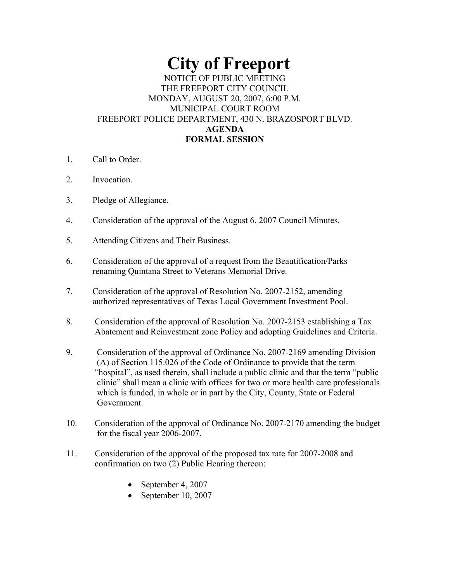# **City of Freeport**

## NOTICE OF PUBLIC MEETING THE FREEPORT CITY COUNCIL MONDAY, AUGUST 20, 2007, 6:00 P.M. MUNICIPAL COURT ROOM FREEPORT POLICE DEPARTMENT, 430 N. BRAZOSPORT BLVD. **AGENDA FORMAL SESSION**

- 1. Call to Order.
- 2. Invocation.
- 3. Pledge of Allegiance.
- 4. Consideration of the approval of the August 6, 2007 Council Minutes.
- 5. Attending Citizens and Their Business.
- 6. Consideration of the approval of a request from the Beautification/Parks renaming Quintana Street to Veterans Memorial Drive.
- 7. Consideration of the approval of Resolution No. 2007-2152, amending authorized representatives of Texas Local Government Investment Pool.
- 8. Consideration of the approval of Resolution No. 2007-2153 establishing a Tax Abatement and Reinvestment zone Policy and adopting Guidelines and Criteria.
- 9. Consideration of the approval of Ordinance No. 2007-2169 amending Division (A) of Section 115.026 of the Code of Ordinance to provide that the term "hospital", as used therein, shall include a public clinic and that the term "public clinic" shall mean a clinic with offices for two or more health care professionals which is funded, in whole or in part by the City, County, State or Federal Government.
- 10. Consideration of the approval of Ordinance No. 2007-2170 amending the budget for the fiscal year 2006-2007.
- 11. Consideration of the approval of the proposed tax rate for 2007-2008 and confirmation on two (2) Public Hearing thereon:
	- September 4, 2007
	- September 10, 2007